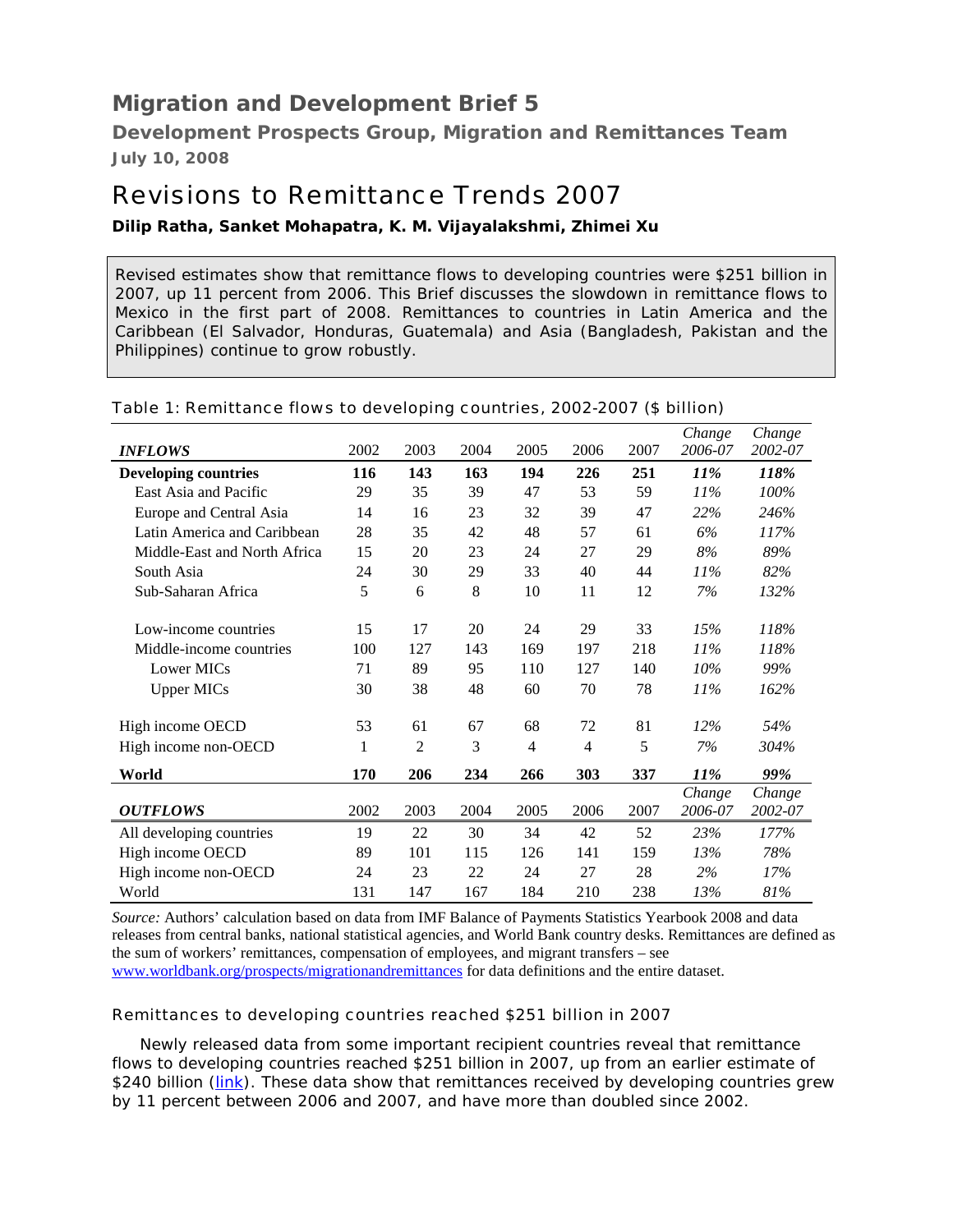# *Migration and Development Brief 5*

**Development Prospects Group, Migration and Remittances Team July 10, 2008**

# Revisions to Remittance Trends 2007

## **Dilip Ratha, Sanket Mohapatra, K. M. Vijayalakshmi, Zhimei Xu**

Revised estimates show that remittance flows to developing countries were \$251 billion in 2007, up 11 percent from 2006. This Brief discusses the slowdown in remittance flows to Mexico in the first part of 2008. Remittances to countries in Latin America and the Caribbean (El Salvador, Honduras, Guatemala) and Asia (Bangladesh, Pakistan and the Philippines) continue to grow robustly.

| <b>INFLOWS</b>               | 2002 | 2003 | 2004 | 2005           | 2006 | 2007 | Change<br>2006-07 | Change<br>2002-07 |
|------------------------------|------|------|------|----------------|------|------|-------------------|-------------------|
| <b>Developing countries</b>  | 116  | 143  | 163  | 194            | 226  | 251  | <i>11%</i>        | 118%              |
| East Asia and Pacific        | 29   | 35   | 39   | 47             | 53   | 59   | 11%               | 100%              |
| Europe and Central Asia      | 14   | 16   | 23   | 32             | 39   | 47   | 22%               | 246%              |
| Latin America and Caribbean  | 28   | 35   | 42   | 48             | 57   | 61   | 6%                | 117%              |
| Middle-East and North Africa | 15   | 20   | 23   | 24             | 27   | 29   | 8%                | 89%               |
| South Asia                   | 24   | 30   | 29   | 33             | 40   | 44   | 11%               | 82%               |
| Sub-Saharan Africa           | 5    | 6    | 8    | 10             | 11   | 12   | 7%                | 132%              |
| Low-income countries         | 15   | 17   | 20   | 24             | 29   | 33   | 15%               | 118%              |
| Middle-income countries      | 100  | 127  | 143  | 169            | 197  | 218  | $11\%$            | 118%              |
| Lower MICs                   | 71   | 89   | 95   | 110            | 127  | 140  | 10%               | 99%               |
| <b>Upper MICs</b>            | 30   | 38   | 48   | 60             | 70   | 78   | 11%               | 162%              |
| High income OECD             | 53   | 61   | 67   | 68             | 72   | 81   | 12%               | 54%               |
| High income non-OECD         | 1    | 2    | 3    | $\overline{4}$ | 4    | 5    | 7%                | 304%              |
| World                        | 170  | 206  | 234  | 266            | 303  | 337  | 11%               | 99%               |
| <b>OUTFLOWS</b>              | 2002 | 2003 | 2004 | 2005           | 2006 | 2007 | Change<br>2006-07 | Change<br>2002-07 |
| All developing countries     | 19   | 22   | 30   | 34             | 42   | 52   | 23%               | 177%              |
| High income OECD             | 89   | 101  | 115  | 126            | 141  | 159  | 13%               | 78%               |
| High income non-OECD         | 24   | 23   | 22   | 24             | 27   | 28   | 2%                | 17%               |
| World                        | 131  | 147  | 167  | 184            | 210  | 238  | 13%               | 81%               |

#### Table 1: Remittance flows to developing countries, 2002-2007 (\$ billion)

*Source:* Authors' calculation based on data from IMF Balance of Payments Statistics Yearbook 2008 and data releases from central banks, national statistical agencies, and World Bank country desks. Remittances are defined as the sum of workers' remittances, compensation of employees, and migrant transfers – see www.worldbank.org/prospects/migrationandremittances for data definitions and the entire dataset.

### Remittances to developing countries reached \$251 billion in 2007

Newly released data from some important recipient countries reveal that remittance flows to developing countries reached \$251 billion in 2007, up from an earlier estimate of \$240 billion (*link*). These data show that remittances received by developing countries grew by 11 percent between 2006 and 2007, and have more than doubled since 2002.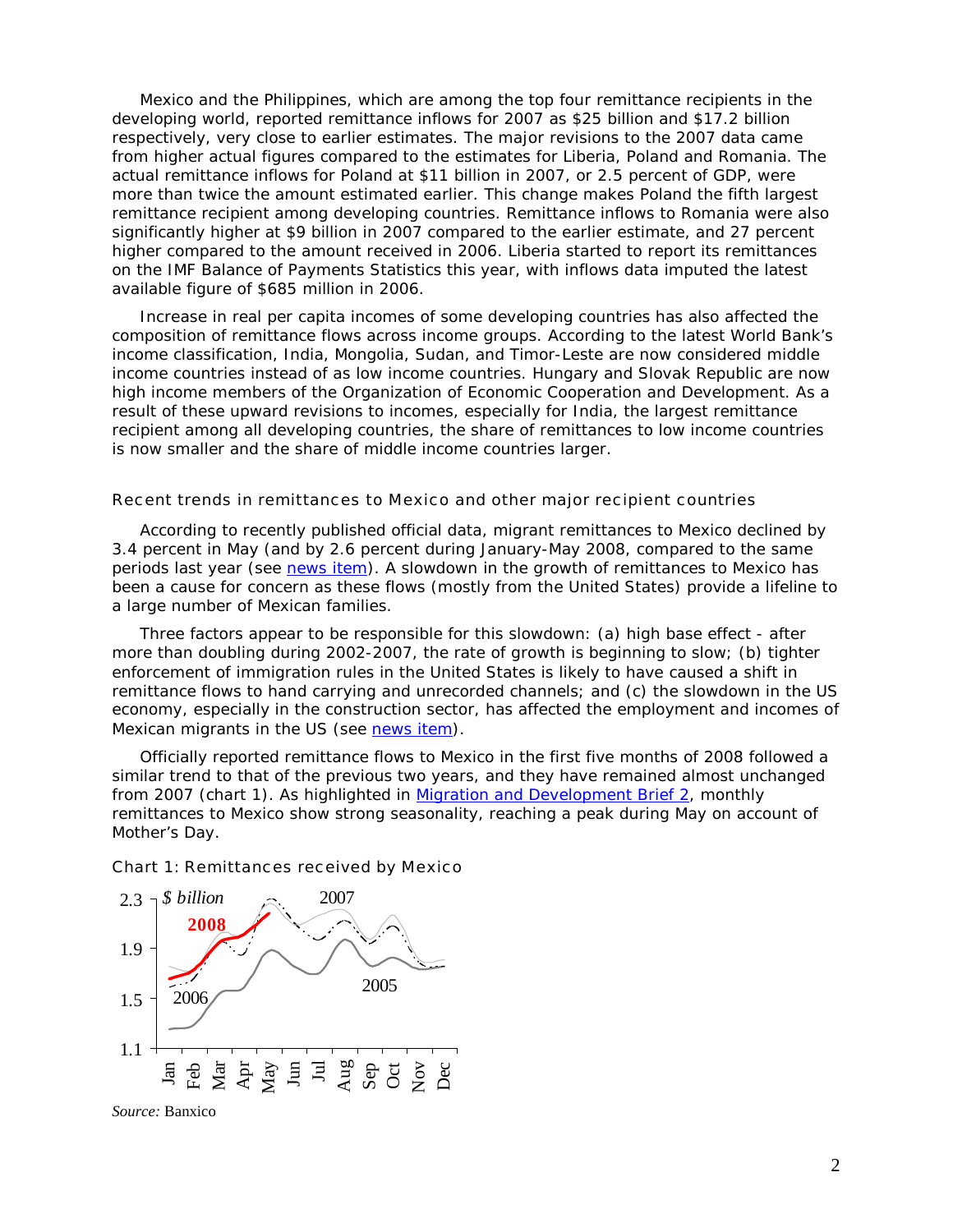Mexico and the Philippines, which are among the top four remittance recipients in the developing world, reported remittance inflows for 2007 as \$25 billion and \$17.2 billion respectively, very close to earlier estimates. The major revisions to the 2007 data came from higher actual figures compared to the estimates for Liberia, Poland and Romania. The actual remittance inflows for Poland at \$11 billion in 2007, or 2.5 percent of GDP, were more than twice the amount estimated earlier. This change makes Poland the fifth largest remittance recipient among developing countries. Remittance inflows to Romania were also significantly higher at \$9 billion in 2007 compared to the earlier estimate, and 27 percent higher compared to the amount received in 2006. Liberia started to report its remittances on the IMF Balance of Payments Statistics this year, with inflows data imputed the latest available figure of \$685 million in 2006.

Increase in real per capita incomes of some developing countries has also affected the composition of remittance flows across income groups. According to the latest World Bank's income classification, India, Mongolia, Sudan, and Timor-Leste are now considered middle income countries instead of as low income countries. Hungary and Slovak Republic are now high income members of the Organization of Economic Cooperation and Development. As a result of these upward revisions to incomes, especially for India, the largest remittance recipient among all developing countries, the share of remittances to low income countries is now smaller and the share of middle income countries larger.

#### Recent trends in remittances to Mexico and other major recipient countries

According to recently published official data, migrant remittances to Mexico declined by 3.4 percent in May (and by 2.6 percent during January-May 2008, compared to the same periods last year (see news item). A slowdown in the growth of remittances to Mexico has been a cause for concern as these flows (mostly from the United States) provide a lifeline to a large number of Mexican families.

Three factors appear to be responsible for this slowdown: (a) high base effect - after more than doubling during 2002-2007, the rate of growth is beginning to slow; (b) tighter enforcement of immigration rules in the United States is likely to have caused a shift in remittance flows to hand carrying and unrecorded channels; and (c) the slowdown in the US economy, especially in the construction sector, has affected the employment and incomes of Mexican migrants in the US (see news item).

Officially reported remittance flows to Mexico in the first five months of 2008 followed a similar trend to that of the previous two years, and they have remained almost unchanged from 2007 (chart 1). As highlighted in Migration and Development Brief 2, monthly remittances to Mexico show strong seasonality, reaching a peak during May on account of Mother's Day.

#### Chart 1: Remittances received by Mexico



*Source:* Banxico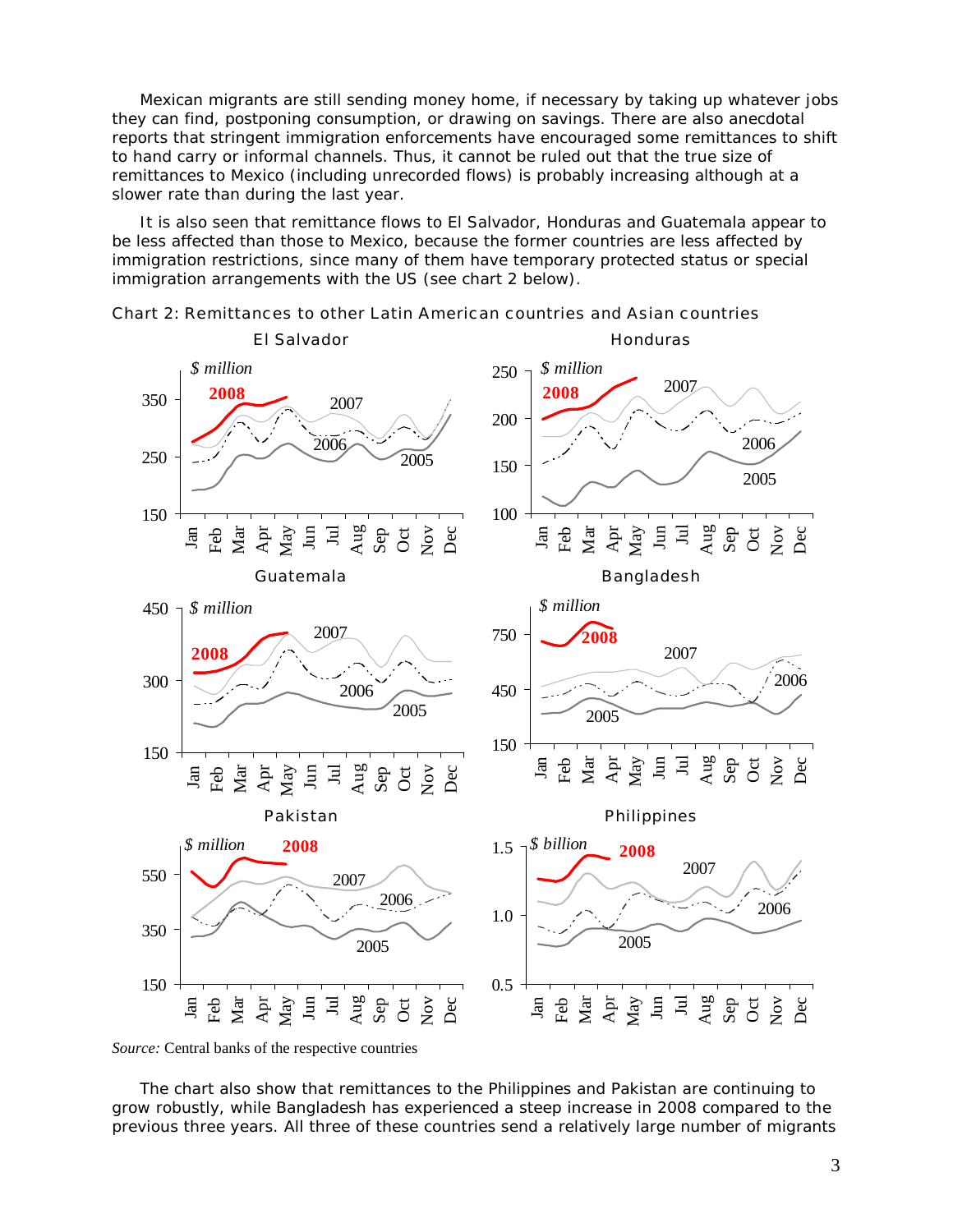Mexican migrants are still sending money home, if necessary by taking up whatever jobs they can find, postponing consumption, or drawing on savings. There are also anecdotal reports that stringent immigration enforcements have encouraged some remittances to shift to hand carry or informal channels. Thus, it cannot be ruled out that the true size of remittances to Mexico (including unrecorded flows) is probably increasing although at a slower rate than during the last year.

It is also seen that remittance flows to El Salvador, Honduras and Guatemala appear to be less affected than those to Mexico, because the former countries are less affected by immigration restrictions, since many of them have temporary protected status or special immigration arrangements with the US (see chart 2 below).





The chart also show that remittances to the Philippines and Pakistan are continuing to grow robustly, while Bangladesh has experienced a steep increase in 2008 compared to the previous three years. All three of these countries send a relatively large number of migrants

*Source:* Central banks of the respective countries